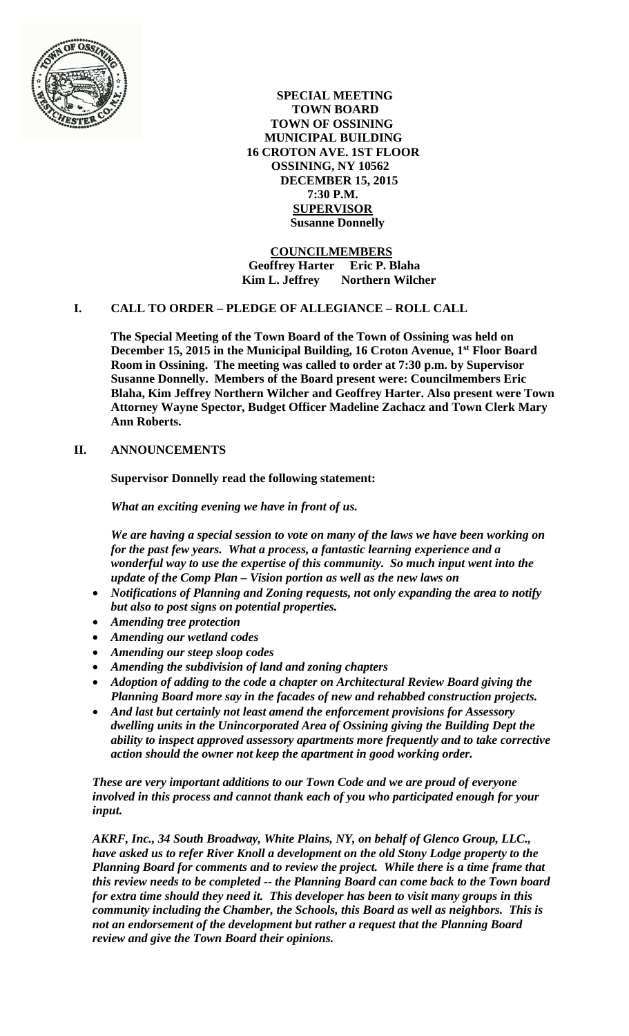

 **SPECIAL MEETING TOWN BOARD TOWN OF OSSINING MUNICIPAL BUILDING 16 CROTON AVE. 1ST FLOOR OSSINING, NY 10562 DECEMBER 15, 2015 7:30 P.M. SUPERVISOR Susanne Donnelly**

 **COUNCILMEMBERS Geoffrey Harter Eric P. Blaha Kim L. Jeffrey Northern Wilcher**

# **I. CALL TO ORDER – PLEDGE OF ALLEGIANCE – ROLL CALL**

**The Special Meeting of the Town Board of the Town of Ossining was held on December 15, 2015 in the Municipal Building, 16 Croton Avenue, 1st Floor Board Room in Ossining. The meeting was called to order at 7:30 p.m. by Supervisor Susanne Donnelly. Members of the Board present were: Councilmembers Eric Blaha, Kim Jeffrey Northern Wilcher and Geoffrey Harter. Also present were Town Attorney Wayne Spector, Budget Officer Madeline Zachacz and Town Clerk Mary Ann Roberts.**

# **II. ANNOUNCEMENTS**

**Supervisor Donnelly read the following statement:**

*What an exciting evening we have in front of us.*

*We are having a special session to vote on many of the laws we have been working on for the past few years. What a process, a fantastic learning experience and a wonderful way to use the expertise of this community. So much input went into the update of the Comp Plan – Vision portion as well as the new laws on* 

- *Notifications of Planning and Zoning requests, not only expanding the area to notify but also to post signs on potential properties.*
- *Amending tree protection*
- *Amending our wetland codes*
- *Amending our steep sloop codes*
- *Amending the subdivision of land and zoning chapters*
- *Adoption of adding to the code a chapter on Architectural Review Board giving the Planning Board more say in the facades of new and rehabbed construction projects.*
- *And last but certainly not least amend the enforcement provisions for Assessory dwelling units in the Unincorporated Area of Ossining giving the Building Dept the ability to inspect approved assessory apartments more frequently and to take corrective action should the owner not keep the apartment in good working order.*

*These are very important additions to our Town Code and we are proud of everyone involved in this process and cannot thank each of you who participated enough for your input.*

*AKRF, Inc., 34 South Broadway, White Plains, NY, on behalf of Glenco Group, LLC., have asked us to refer River Knoll a development on the old Stony Lodge property to the Planning Board for comments and to review the project. While there is a time frame that this review needs to be completed -- the Planning Board can come back to the Town board for extra time should they need it. This developer has been to visit many groups in this community including the Chamber, the Schools, this Board as well as neighbors. This is not an endorsement of the development but rather a request that the Planning Board review and give the Town Board their opinions.*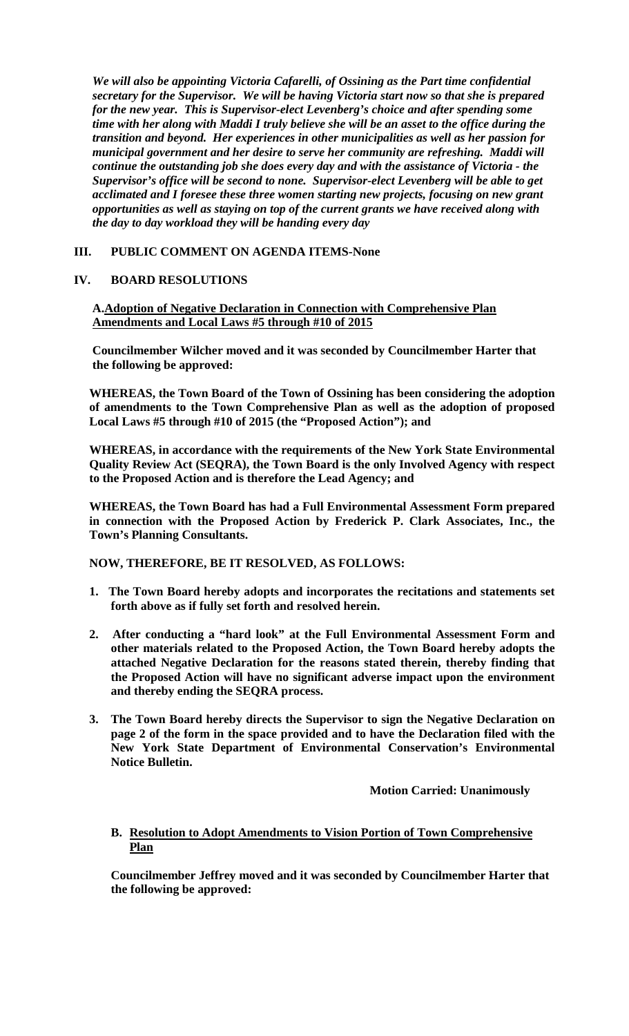*We will also be appointing Victoria Cafarelli, of Ossining as the Part time confidential secretary for the Supervisor. We will be having Victoria start now so that she is prepared for the new year. This is Supervisor-elect Levenberg's choice and after spending some time with her along with Maddi I truly believe she will be an asset to the office during the transition and beyond. Her experiences in other municipalities as well as her passion for municipal government and her desire to serve her community are refreshing. Maddi will continue the outstanding job she does every day and with the assistance of Victoria - the Supervisor's office will be second to none. Supervisor-elect Levenberg will be able to get acclimated and I foresee these three women starting new projects, focusing on new grant opportunities as well as staying on top of the current grants we have received along with the day to day workload they will be handing every day* 

# **III. PUBLIC COMMENT ON AGENDA ITEMS-None**

# **IV. BOARD RESOLUTIONS**

# **A.Adoption of Negative Declaration in Connection with Comprehensive Plan Amendments and Local Laws #5 through #10 of 2015**

**Councilmember Wilcher moved and it was seconded by Councilmember Harter that the following be approved:**

**WHEREAS, the Town Board of the Town of Ossining has been considering the adoption of amendments to the Town Comprehensive Plan as well as the adoption of proposed Local Laws #5 through #10 of 2015 (the "Proposed Action"); and**

**WHEREAS, in accordance with the requirements of the New York State Environmental Quality Review Act (SEQRA), the Town Board is the only Involved Agency with respect to the Proposed Action and is therefore the Lead Agency; and**

**WHEREAS, the Town Board has had a Full Environmental Assessment Form prepared in connection with the Proposed Action by Frederick P. Clark Associates, Inc., the Town's Planning Consultants.** 

# **NOW, THEREFORE, BE IT RESOLVED, AS FOLLOWS:**

- **1. The Town Board hereby adopts and incorporates the recitations and statements set forth above as if fully set forth and resolved herein.**
- **2. After conducting a "hard look" at the Full Environmental Assessment Form and other materials related to the Proposed Action, the Town Board hereby adopts the attached Negative Declaration for the reasons stated therein, thereby finding that the Proposed Action will have no significant adverse impact upon the environment and thereby ending the SEQRA process.**
- **3. The Town Board hereby directs the Supervisor to sign the Negative Declaration on page 2 of the form in the space provided and to have the Declaration filed with the New York State Department of Environmental Conservation's Environmental Notice Bulletin.**

**Motion Carried: Unanimously**

# **B. Resolution to Adopt Amendments to Vision Portion of Town Comprehensive Plan**

**Councilmember Jeffrey moved and it was seconded by Councilmember Harter that the following be approved:**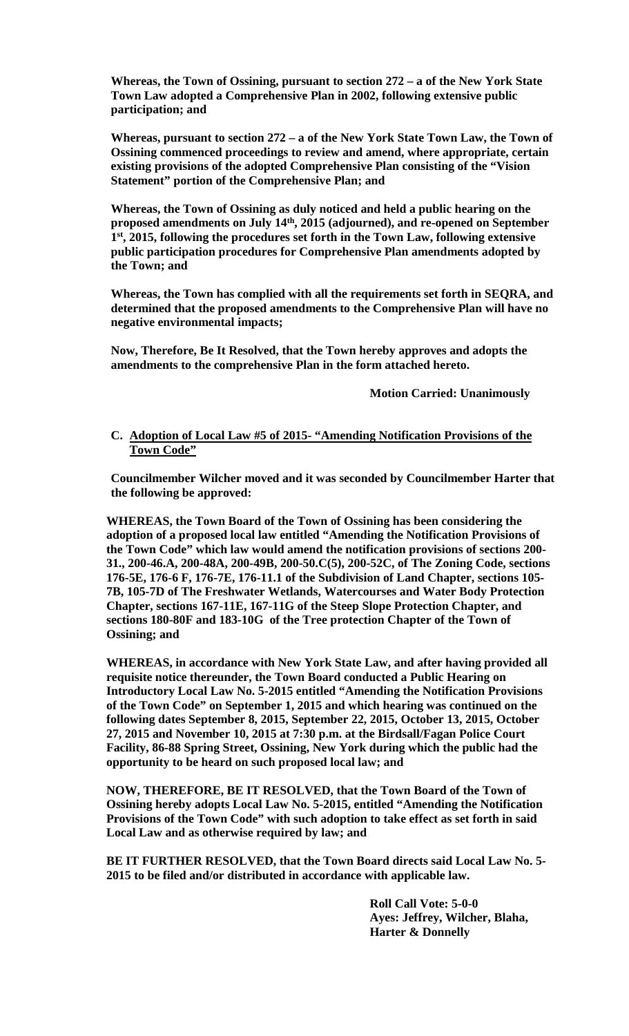**Whereas, the Town of Ossining, pursuant to section 272 – a of the New York State Town Law adopted a Comprehensive Plan in 2002, following extensive public participation; and**

**Whereas, pursuant to section 272 – a of the New York State Town Law, the Town of Ossining commenced proceedings to review and amend, where appropriate, certain existing provisions of the adopted Comprehensive Plan consisting of the "Vision Statement" portion of the Comprehensive Plan; and**

**Whereas, the Town of Ossining as duly noticed and held a public hearing on the proposed amendments on July 14th, 2015 (adjourned), and re-opened on September 1st, 2015, following the procedures set forth in the Town Law, following extensive public participation procedures for Comprehensive Plan amendments adopted by the Town; and**

**Whereas, the Town has complied with all the requirements set forth in SEQRA, and determined that the proposed amendments to the Comprehensive Plan will have no negative environmental impacts;**

**Now, Therefore, Be It Resolved, that the Town hereby approves and adopts the amendments to the comprehensive Plan in the form attached hereto.**

**Motion Carried: Unanimously**

#### **C. Adoption of Local Law #5 of 2015- "Amending Notification Provisions of the Town Code"**

**Councilmember Wilcher moved and it was seconded by Councilmember Harter that the following be approved:**

**WHEREAS, the Town Board of the Town of Ossining has been considering the adoption of a proposed local law entitled "Amending the Notification Provisions of the Town Code" which law would amend the notification provisions of sections 200- 31., 200-46.A, 200-48A, 200-49B, 200-50.C(5), 200-52C, of The Zoning Code, sections 176-5E, 176-6 F, 176-7E, 176-11.1 of the Subdivision of Land Chapter, sections 105- 7B, 105-7D of The Freshwater Wetlands, Watercourses and Water Body Protection Chapter, sections 167-11E, 167-11G of the Steep Slope Protection Chapter, and sections 180-80F and 183-10G of the Tree protection Chapter of the Town of Ossining; and**

**WHEREAS, in accordance with New York State Law, and after having provided all requisite notice thereunder, the Town Board conducted a Public Hearing on Introductory Local Law No. 5-2015 entitled "Amending the Notification Provisions of the Town Code" on September 1, 2015 and which hearing was continued on the following dates September 8, 2015, September 22, 2015, October 13, 2015, October 27, 2015 and November 10, 2015 at 7:30 p.m. at the Birdsall/Fagan Police Court Facility, 86-88 Spring Street, Ossining, New York during which the public had the opportunity to be heard on such proposed local law; and** 

**NOW, THEREFORE, BE IT RESOLVED, that the Town Board of the Town of Ossining hereby adopts Local Law No. 5-2015, entitled "Amending the Notification Provisions of the Town Code" with such adoption to take effect as set forth in said Local Law and as otherwise required by law; and** 

**BE IT FURTHER RESOLVED, that the Town Board directs said Local Law No. 5- 2015 to be filed and/or distributed in accordance with applicable law.** 

> **Roll Call Vote: 5-0-0 Ayes: Jeffrey, Wilcher, Blaha, Harter & Donnelly**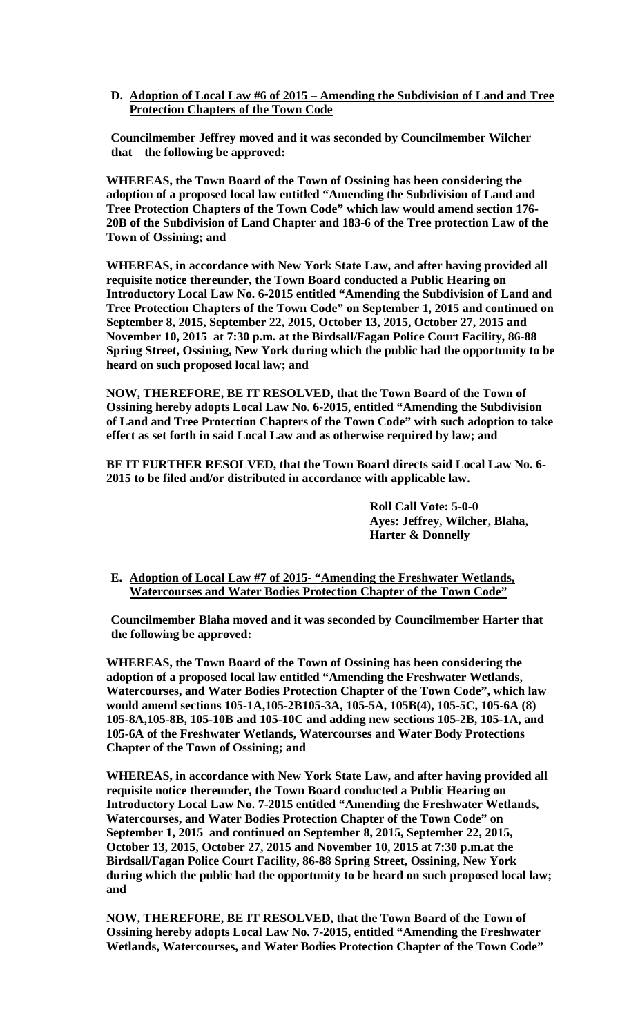**D. Adoption of Local Law #6 of 2015 – Amending the Subdivision of Land and Tree Protection Chapters of the Town Code**

**Councilmember Jeffrey moved and it was seconded by Councilmember Wilcher that the following be approved:**

**WHEREAS, the Town Board of the Town of Ossining has been considering the adoption of a proposed local law entitled "Amending the Subdivision of Land and Tree Protection Chapters of the Town Code" which law would amend section 176- 20B of the Subdivision of Land Chapter and 183-6 of the Tree protection Law of the Town of Ossining; and**

**WHEREAS, in accordance with New York State Law, and after having provided all requisite notice thereunder, the Town Board conducted a Public Hearing on Introductory Local Law No. 6-2015 entitled "Amending the Subdivision of Land and Tree Protection Chapters of the Town Code" on September 1, 2015 and continued on September 8, 2015, September 22, 2015, October 13, 2015, October 27, 2015 and November 10, 2015 at 7:30 p.m. at the Birdsall/Fagan Police Court Facility, 86-88 Spring Street, Ossining, New York during which the public had the opportunity to be heard on such proposed local law; and** 

**NOW, THEREFORE, BE IT RESOLVED, that the Town Board of the Town of Ossining hereby adopts Local Law No. 6-2015, entitled "Amending the Subdivision of Land and Tree Protection Chapters of the Town Code" with such adoption to take effect as set forth in said Local Law and as otherwise required by law; and** 

**BE IT FURTHER RESOLVED, that the Town Board directs said Local Law No. 6- 2015 to be filed and/or distributed in accordance with applicable law.** 

> **Roll Call Vote: 5-0-0 Ayes: Jeffrey, Wilcher, Blaha, Harter & Donnelly**

#### **E. Adoption of Local Law #7 of 2015- "Amending the Freshwater Wetlands, Watercourses and Water Bodies Protection Chapter of the Town Code"**

**Councilmember Blaha moved and it was seconded by Councilmember Harter that the following be approved:**

**WHEREAS, the Town Board of the Town of Ossining has been considering the adoption of a proposed local law entitled "Amending the Freshwater Wetlands, Watercourses, and Water Bodies Protection Chapter of the Town Code", which law would amend sections 105-1A,105-2B105-3A, 105-5A, 105B(4), 105-5C, 105-6A (8) 105-8A,105-8B, 105-10B and 105-10C and adding new sections 105-2B, 105-1A, and 105-6A of the Freshwater Wetlands, Watercourses and Water Body Protections Chapter of the Town of Ossining; and**

**WHEREAS, in accordance with New York State Law, and after having provided all requisite notice thereunder, the Town Board conducted a Public Hearing on Introductory Local Law No. 7-2015 entitled "Amending the Freshwater Wetlands, Watercourses, and Water Bodies Protection Chapter of the Town Code" on September 1, 2015 and continued on September 8, 2015, September 22, 2015, October 13, 2015, October 27, 2015 and November 10, 2015 at 7:30 p.m.at the Birdsall/Fagan Police Court Facility, 86-88 Spring Street, Ossining, New York during which the public had the opportunity to be heard on such proposed local law; and** 

**NOW, THEREFORE, BE IT RESOLVED, that the Town Board of the Town of Ossining hereby adopts Local Law No. 7-2015, entitled "Amending the Freshwater Wetlands, Watercourses, and Water Bodies Protection Chapter of the Town Code"**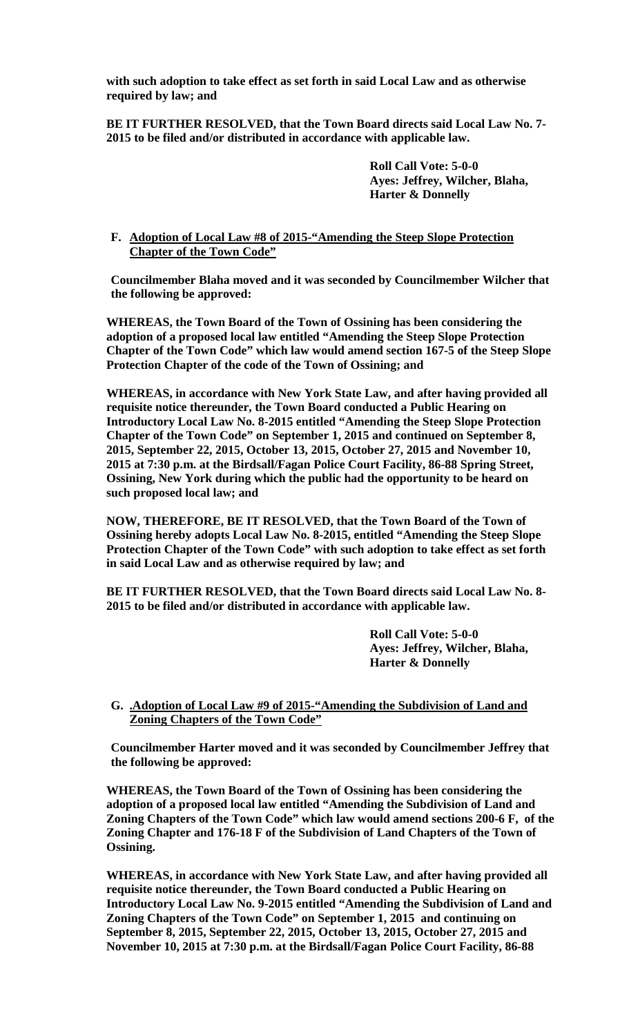**with such adoption to take effect as set forth in said Local Law and as otherwise required by law; and** 

**BE IT FURTHER RESOLVED, that the Town Board directs said Local Law No. 7- 2015 to be filed and/or distributed in accordance with applicable law.** 

> **Roll Call Vote: 5-0-0 Ayes: Jeffrey, Wilcher, Blaha, Harter & Donnelly**

# **F. Adoption of Local Law #8 of 2015-"Amending the Steep Slope Protection Chapter of the Town Code"**

**Councilmember Blaha moved and it was seconded by Councilmember Wilcher that the following be approved:**

**WHEREAS, the Town Board of the Town of Ossining has been considering the adoption of a proposed local law entitled "Amending the Steep Slope Protection Chapter of the Town Code" which law would amend section 167-5 of the Steep Slope Protection Chapter of the code of the Town of Ossining; and**

**WHEREAS, in accordance with New York State Law, and after having provided all requisite notice thereunder, the Town Board conducted a Public Hearing on Introductory Local Law No. 8-2015 entitled "Amending the Steep Slope Protection Chapter of the Town Code" on September 1, 2015 and continued on September 8, 2015, September 22, 2015, October 13, 2015, October 27, 2015 and November 10, 2015 at 7:30 p.m. at the Birdsall/Fagan Police Court Facility, 86-88 Spring Street, Ossining, New York during which the public had the opportunity to be heard on such proposed local law; and** 

**NOW, THEREFORE, BE IT RESOLVED, that the Town Board of the Town of Ossining hereby adopts Local Law No. 8-2015, entitled "Amending the Steep Slope Protection Chapter of the Town Code" with such adoption to take effect as set forth in said Local Law and as otherwise required by law; and** 

**BE IT FURTHER RESOLVED, that the Town Board directs said Local Law No. 8- 2015 to be filed and/or distributed in accordance with applicable law.** 

> **Roll Call Vote: 5-0-0 Ayes: Jeffrey, Wilcher, Blaha, Harter & Donnelly**

# **G. .Adoption of Local Law #9 of 2015-"Amending the Subdivision of Land and Zoning Chapters of the Town Code"**

**Councilmember Harter moved and it was seconded by Councilmember Jeffrey that the following be approved:**

**WHEREAS, the Town Board of the Town of Ossining has been considering the adoption of a proposed local law entitled "Amending the Subdivision of Land and Zoning Chapters of the Town Code" which law would amend sections 200-6 F, of the Zoning Chapter and 176-18 F of the Subdivision of Land Chapters of the Town of Ossining.** 

**WHEREAS, in accordance with New York State Law, and after having provided all requisite notice thereunder, the Town Board conducted a Public Hearing on Introductory Local Law No. 9-2015 entitled "Amending the Subdivision of Land and Zoning Chapters of the Town Code" on September 1, 2015 and continuing on September 8, 2015, September 22, 2015, October 13, 2015, October 27, 2015 and November 10, 2015 at 7:30 p.m. at the Birdsall/Fagan Police Court Facility, 86-88**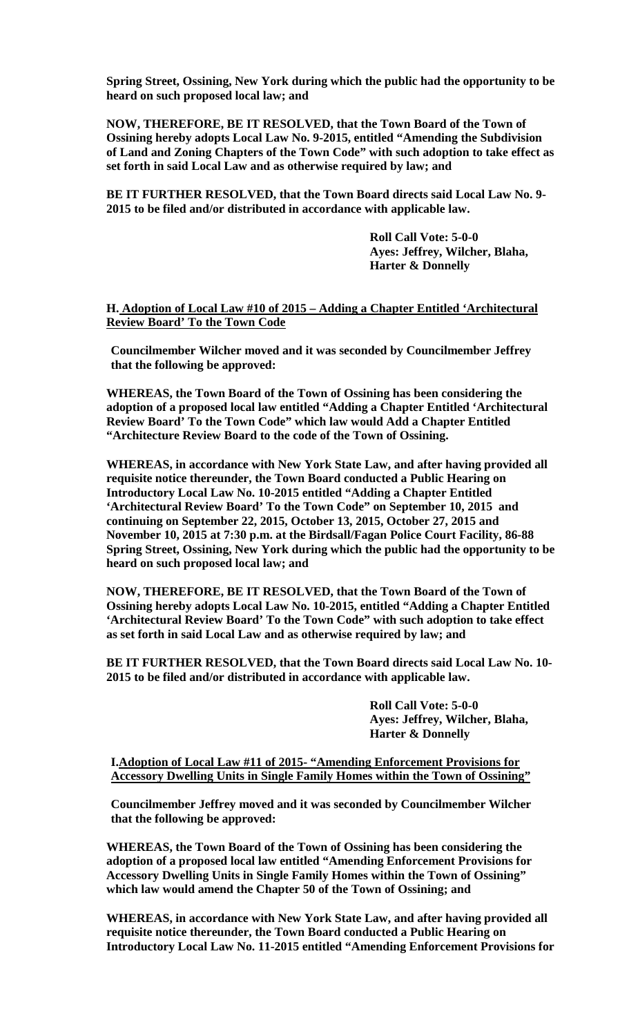**Spring Street, Ossining, New York during which the public had the opportunity to be heard on such proposed local law; and** 

**NOW, THEREFORE, BE IT RESOLVED, that the Town Board of the Town of Ossining hereby adopts Local Law No. 9-2015, entitled "Amending the Subdivision of Land and Zoning Chapters of the Town Code" with such adoption to take effect as set forth in said Local Law and as otherwise required by law; and** 

**BE IT FURTHER RESOLVED, that the Town Board directs said Local Law No. 9- 2015 to be filed and/or distributed in accordance with applicable law.** 

> **Roll Call Vote: 5-0-0 Ayes: Jeffrey, Wilcher, Blaha, Harter & Donnelly**

**H. Adoption of Local Law #10 of 2015 – Adding a Chapter Entitled 'Architectural Review Board' To the Town Code** 

**Councilmember Wilcher moved and it was seconded by Councilmember Jeffrey that the following be approved:**

**WHEREAS, the Town Board of the Town of Ossining has been considering the adoption of a proposed local law entitled "Adding a Chapter Entitled 'Architectural Review Board' To the Town Code" which law would Add a Chapter Entitled "Architecture Review Board to the code of the Town of Ossining.** 

**WHEREAS, in accordance with New York State Law, and after having provided all requisite notice thereunder, the Town Board conducted a Public Hearing on Introductory Local Law No. 10-2015 entitled "Adding a Chapter Entitled 'Architectural Review Board' To the Town Code" on September 10, 2015 and continuing on September 22, 2015, October 13, 2015, October 27, 2015 and November 10, 2015 at 7:30 p.m. at the Birdsall/Fagan Police Court Facility, 86-88 Spring Street, Ossining, New York during which the public had the opportunity to be heard on such proposed local law; and** 

**NOW, THEREFORE, BE IT RESOLVED, that the Town Board of the Town of Ossining hereby adopts Local Law No. 10-2015, entitled "Adding a Chapter Entitled 'Architectural Review Board' To the Town Code" with such adoption to take effect as set forth in said Local Law and as otherwise required by law; and** 

**BE IT FURTHER RESOLVED, that the Town Board directs said Local Law No. 10- 2015 to be filed and/or distributed in accordance with applicable law.** 

> **Roll Call Vote: 5-0-0 Ayes: Jeffrey, Wilcher, Blaha, Harter & Donnelly**

**I.Adoption of Local Law #11 of 2015- "Amending Enforcement Provisions for Accessory Dwelling Units in Single Family Homes within the Town of Ossining"**

**Councilmember Jeffrey moved and it was seconded by Councilmember Wilcher that the following be approved:**

**WHEREAS, the Town Board of the Town of Ossining has been considering the adoption of a proposed local law entitled "Amending Enforcement Provisions for Accessory Dwelling Units in Single Family Homes within the Town of Ossining" which law would amend the Chapter 50 of the Town of Ossining; and**

**WHEREAS, in accordance with New York State Law, and after having provided all requisite notice thereunder, the Town Board conducted a Public Hearing on Introductory Local Law No. 11-2015 entitled "Amending Enforcement Provisions for**